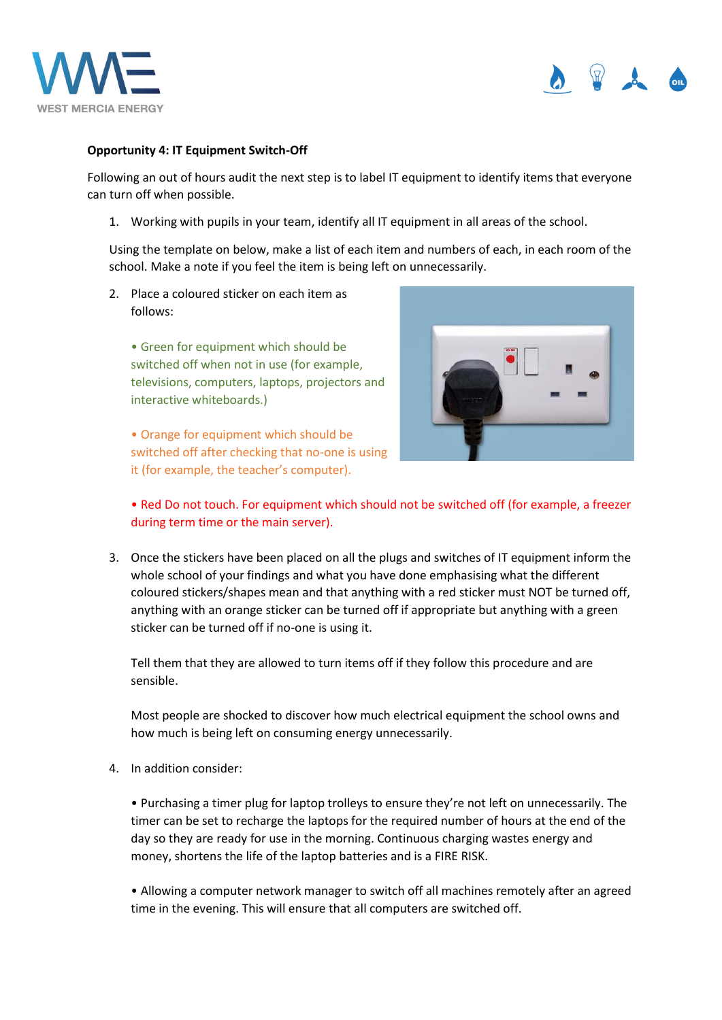



## **Opportunity 4: IT Equipment Switch-Off**

Following an out of hours audit the next step is to label IT equipment to identify items that everyone can turn off when possible.

1. Working with pupils in your team, identify all IT equipment in all areas of the school.

Using the template on below, make a list of each item and numbers of each, in each room of the school. Make a note if you feel the item is being left on unnecessarily.

2. Place a coloured sticker on each item as follows:

• Green for equipment which should be switched off when not in use (for example, televisions, computers, laptops, projectors and interactive whiteboards.)

• Orange for equipment which should be switched off after checking that no-one is using it (for example, the teacher's computer).



## • Red Do not touch. For equipment which should not be switched off (for example, a freezer during term time or the main server).

3. Once the stickers have been placed on all the plugs and switches of IT equipment inform the whole school of your findings and what you have done emphasising what the different coloured stickers/shapes mean and that anything with a red sticker must NOT be turned off, anything with an orange sticker can be turned off if appropriate but anything with a green sticker can be turned off if no-one is using it.

Tell them that they are allowed to turn items off if they follow this procedure and are sensible.

Most people are shocked to discover how much electrical equipment the school owns and how much is being left on consuming energy unnecessarily.

4. In addition consider:

• Purchasing a timer plug for laptop trolleys to ensure they're not left on unnecessarily. The timer can be set to recharge the laptops for the required number of hours at the end of the day so they are ready for use in the morning. Continuous charging wastes energy and money, shortens the life of the laptop batteries and is a FIRE RISK.

• Allowing a computer network manager to switch off all machines remotely after an agreed time in the evening. This will ensure that all computers are switched off.